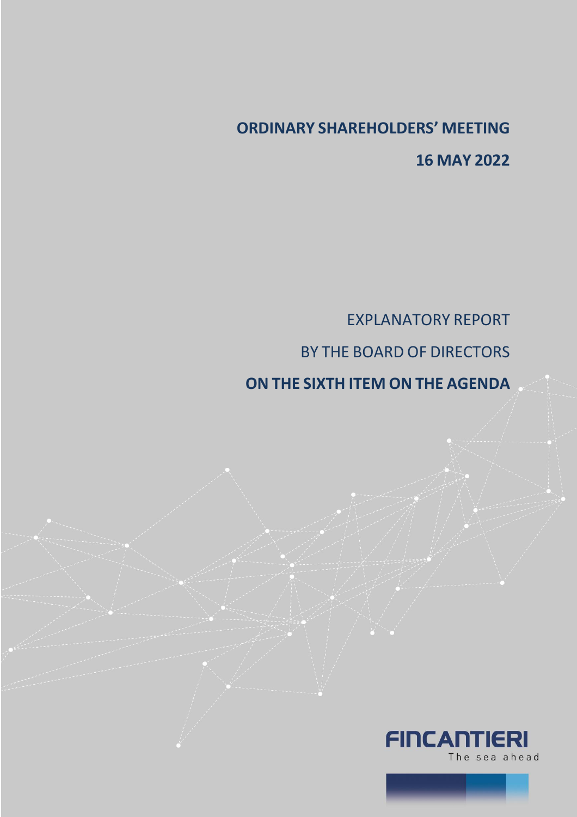## **ORDINARY SHAREHOLDERS' MEETING 16 MAY 2022**

EXPLANATORY REPORT BY THE BOARD OF DIRECTORS

**ON THE SIXTH ITEM ON THE AGENDA**



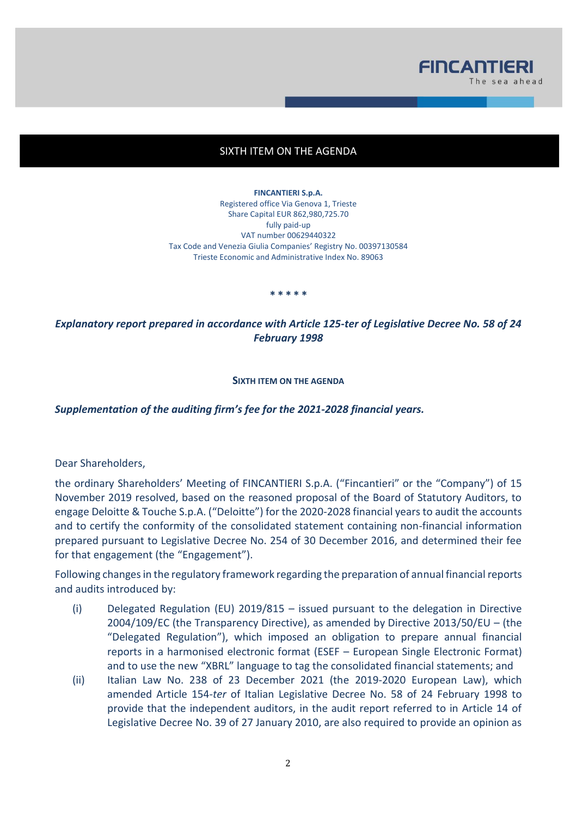

## SIXTH ITEM ON THE AGENDA

**FINCANTIERI S.p.A.** Registered office Via Genova 1, Trieste Share Capital EUR 862,980,725.70 fully paid-up VAT number 00629440322 Tax Code and Venezia Giulia Companies' Registry No. 00397130584 Trieste Economic and Administrative Index No. 89063

**\* \* \* \* \***

*Explanatory report prepared in accordance with Article 125-ter of Legislative Decree No. 58 of 24 February 1998*

**SIXTH ITEM ON THE AGENDA**

*Supplementation of the auditing firm's fee for the 2021-2028 financial years.*

Dear Shareholders,

the ordinary Shareholders' Meeting of FINCANTIERI S.p.A. ("Fincantieri" or the "Company") of 15 November 2019 resolved, based on the reasoned proposal of the Board of Statutory Auditors, to engage Deloitte & Touche S.p.A. ("Deloitte") for the 2020-2028 financial years to audit the accounts and to certify the conformity of the consolidated statement containing non-financial information prepared pursuant to Legislative Decree No. 254 of 30 December 2016, and determined their fee for that engagement (the "Engagement").

Following changes in the regulatory framework regarding the preparation of annual financial reports and audits introduced by:

- (i) Delegated Regulation (EU) 2019/815 issued pursuant to the delegation in Directive 2004/109/EC (the Transparency Directive), as amended by Directive 2013/50/EU – (the "Delegated Regulation"), which imposed an obligation to prepare annual financial reports in a harmonised electronic format (ESEF – European Single Electronic Format) and to use the new "XBRL" language to tag the consolidated financial statements; and
- (ii) Italian Law No. 238 of 23 December 2021 (the 2019-2020 European Law), which amended Article 154-*ter* of Italian Legislative Decree No. 58 of 24 February 1998 to provide that the independent auditors, in the audit report referred to in Article 14 of Legislative Decree No. 39 of 27 January 2010, are also required to provide an opinion as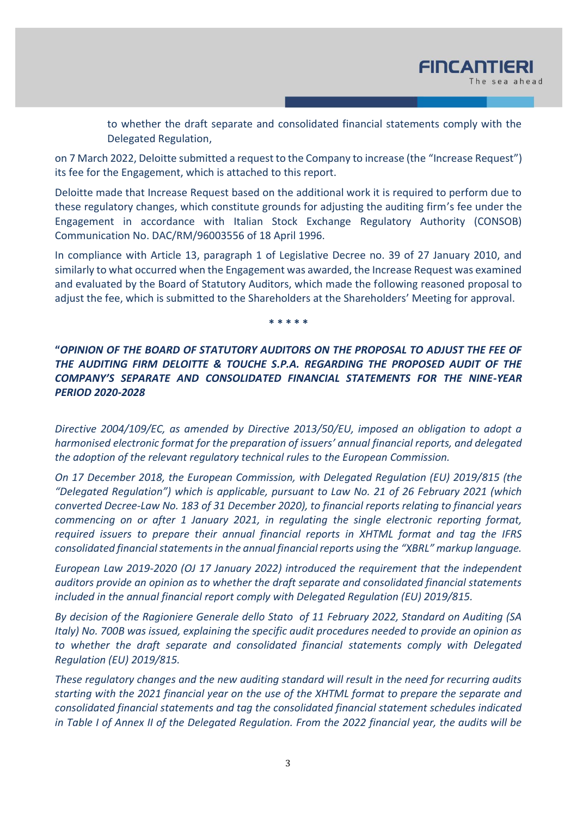to whether the draft separate and consolidated financial statements comply with the Delegated Regulation,

on 7 March 2022, Deloitte submitted a request to the Company to increase (the "Increase Request") its fee for the Engagement, which is attached to this report.

Deloitte made that Increase Request based on the additional work it is required to perform due to these regulatory changes, which constitute grounds for adjusting the auditing firm's fee under the Engagement in accordance with Italian Stock Exchange Regulatory Authority (CONSOB) Communication No. DAC/RM/96003556 of 18 April 1996.

In compliance with Article 13, paragraph 1 of Legislative Decree no. 39 of 27 January 2010, and similarly to what occurred when the Engagement was awarded, the Increase Request was examined and evaluated by the Board of Statutory Auditors, which made the following reasoned proposal to adjust the fee, which is submitted to the Shareholders at the Shareholders' Meeting for approval.

**\* \* \* \* \***

## **"***OPINION OF THE BOARD OF STATUTORY AUDITORS ON THE PROPOSAL TO ADJUST THE FEE OF THE AUDITING FIRM DELOITTE & TOUCHE S.P.A. REGARDING THE PROPOSED AUDIT OF THE COMPANY'S SEPARATE AND CONSOLIDATED FINANCIAL STATEMENTS FOR THE NINE-YEAR PERIOD 2020-2028*

*Directive 2004/109/EC, as amended by Directive 2013/50/EU, imposed an obligation to adopt a harmonised electronic format for the preparation of issuers' annual financial reports, and delegated the adoption of the relevant regulatory technical rules to the European Commission.*

*On 17 December 2018, the European Commission, with Delegated Regulation (EU) 2019/815 (the "Delegated Regulation") which is applicable, pursuant to Law No. 21 of 26 February 2021 (which converted Decree-Law No. 183 of 31 December 2020), to financial reports relating to financial years commencing on or after 1 January 2021, in regulating the single electronic reporting format, required issuers to prepare their annual financial reports in XHTML format and tag the IFRS consolidated financial statements in the annual financial reports using the "XBRL" markup language.*

*European Law 2019-2020 (OJ 17 January 2022) introduced the requirement that the independent auditors provide an opinion as to whether the draft separate and consolidated financial statements included in the annual financial report comply with Delegated Regulation (EU) 2019/815.*

*By decision of the Ragioniere Generale dello Stato of 11 February 2022, Standard on Auditing (SA Italy) No. 700B was issued, explaining the specific audit procedures needed to provide an opinion as to whether the draft separate and consolidated financial statements comply with Delegated Regulation (EU) 2019/815.*

*These regulatory changes and the new auditing standard will result in the need for recurring audits starting with the 2021 financial year on the use of the XHTML format to prepare the separate and consolidated financial statements and tag the consolidated financial statement schedules indicated in Table I of Annex II of the Delegated Regulation. From the 2022 financial year, the audits will be*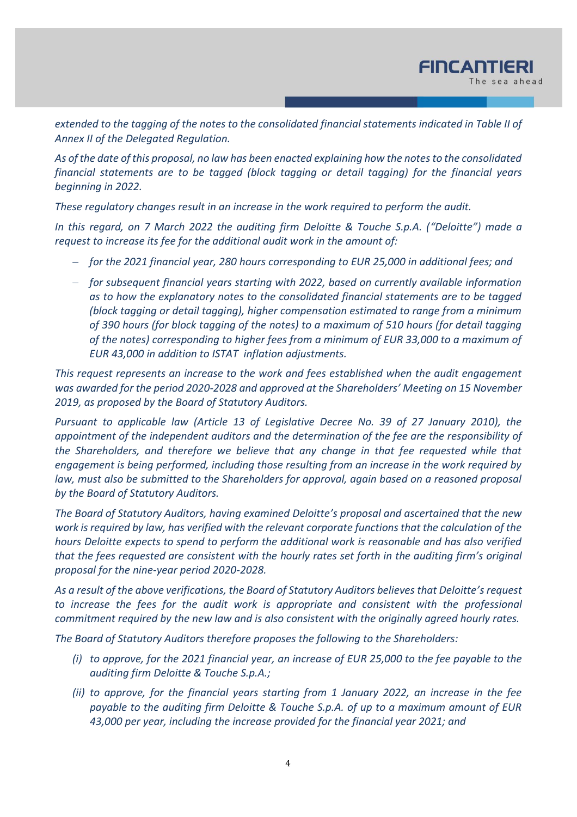*extended to the tagging of the notes to the consolidated financial statements indicated in Table II of Annex II of the Delegated Regulation.* 

*As of the date of this proposal, no law has been enacted explaining how the notes to the consolidated financial statements are to be tagged (block tagging or detail tagging) for the financial years beginning in 2022.*

*These regulatory changes result in an increase in the work required to perform the audit.* 

*In this regard, on 7 March 2022 the auditing firm Deloitte & Touche S.p.A. ("Deloitte") made a request to increase its fee for the additional audit work in the amount of:*

- − *for the 2021 financial year, 280 hours corresponding to EUR 25,000 in additional fees; and*
- − *for subsequent financial years starting with 2022, based on currently available information as to how the explanatory notes to the consolidated financial statements are to be tagged (block tagging or detail tagging), higher compensation estimated to range from a minimum of 390 hours (for block tagging of the notes) to a maximum of 510 hours (for detail tagging of the notes) corresponding to higher fees from a minimum of EUR 33,000 to a maximum of EUR 43,000 in addition to ISTAT inflation adjustments.*

*This request represents an increase to the work and fees established when the audit engagement was awarded for the period 2020-2028 and approved at the Shareholders' Meeting on 15 November 2019, as proposed by the Board of Statutory Auditors.*

*Pursuant to applicable law (Article 13 of Legislative Decree No. 39 of 27 January 2010), the appointment of the independent auditors and the determination of the fee are the responsibility of the Shareholders, and therefore we believe that any change in that fee requested while that engagement is being performed, including those resulting from an increase in the work required by law, must also be submitted to the Shareholders for approval, again based on a reasoned proposal by the Board of Statutory Auditors.* 

*The Board of Statutory Auditors, having examined Deloitte's proposal and ascertained that the new work is required by law, has verified with the relevant corporate functions that the calculation of the hours Deloitte expects to spend to perform the additional work is reasonable and has also verified that the fees requested are consistent with the hourly rates set forth in the auditing firm's original proposal for the nine-year period 2020-2028.*

*As a result of the above verifications, the Board of Statutory Auditors believes that Deloitte's request*  to increase the fees for the audit work is appropriate and consistent with the professional *commitment required by the new law and is also consistent with the originally agreed hourly rates.*

*The Board of Statutory Auditors therefore proposes the following to the Shareholders:*

- *(i) to approve, for the 2021 financial year, an increase of EUR 25,000 to the fee payable to the auditing firm Deloitte & Touche S.p.A.;*
- *(ii) to approve, for the financial years starting from 1 January 2022, an increase in the fee payable to the auditing firm Deloitte & Touche S.p.A. of up to a maximum amount of EUR 43,000 per year, including the increase provided for the financial year 2021; and*